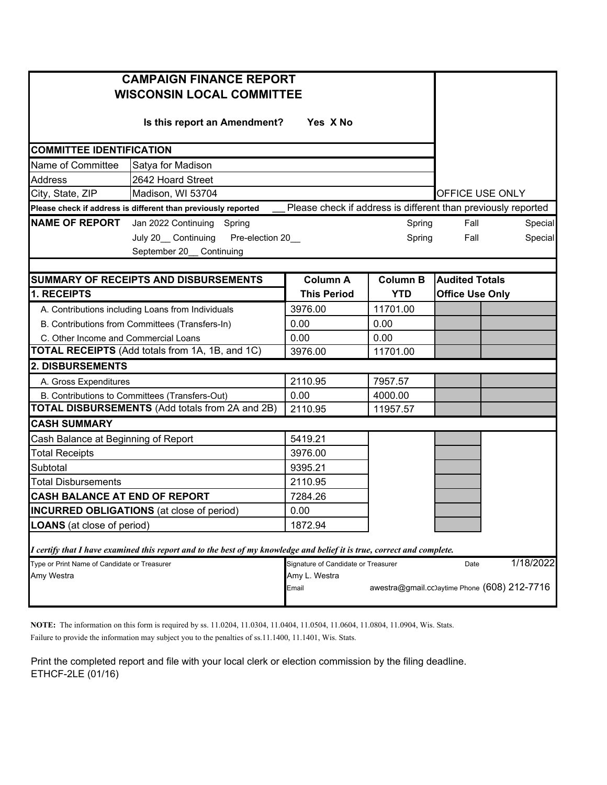| <b>CAMPAIGN FINANCE REPORT</b><br><b>WISCONSIN LOCAL COMMITTEE</b> |                                                                                                                         |                                                               |                 |                                               |           |
|--------------------------------------------------------------------|-------------------------------------------------------------------------------------------------------------------------|---------------------------------------------------------------|-----------------|-----------------------------------------------|-----------|
|                                                                    |                                                                                                                         |                                                               |                 |                                               |           |
| <b>COMMITTEE IDENTIFICATION</b>                                    |                                                                                                                         |                                                               |                 |                                               |           |
| Name of Committee                                                  | Satya for Madison                                                                                                       |                                                               |                 |                                               |           |
| Address                                                            | 2642 Hoard Street                                                                                                       |                                                               |                 |                                               |           |
| City, State, ZIP                                                   | Madison, WI 53704                                                                                                       |                                                               |                 | OFFICE USE ONLY                               |           |
|                                                                    | Please check if address is different than previously reported                                                           | Please check if address is different than previously reported |                 |                                               |           |
| <b>NAME OF REPORT</b>                                              | Jan 2022 Continuing<br>Spring                                                                                           |                                                               | Spring          | Fall                                          | Special   |
|                                                                    | July 20_ Continuing<br>Pre-election 20_                                                                                 |                                                               | Spring          | Fall                                          | Special   |
|                                                                    | September 20_ Continuing                                                                                                |                                                               |                 |                                               |           |
|                                                                    |                                                                                                                         |                                                               |                 |                                               |           |
|                                                                    | <b>SUMMARY OF RECEIPTS AND DISBURSEMENTS</b>                                                                            | <b>Column A</b>                                               | <b>Column B</b> | <b>Audited Totals</b>                         |           |
| 1. RECEIPTS                                                        |                                                                                                                         | <b>This Period</b>                                            | <b>YTD</b>      | <b>Office Use Only</b>                        |           |
|                                                                    | A. Contributions including Loans from Individuals                                                                       | 3976.00                                                       | 11701.00        |                                               |           |
|                                                                    | B. Contributions from Committees (Transfers-In)                                                                         | 0.00                                                          | 0.00            |                                               |           |
| C. Other Income and Commercial Loans                               |                                                                                                                         | 0.00                                                          | 0.00            |                                               |           |
|                                                                    | <b>TOTAL RECEIPTS</b> (Add totals from 1A, 1B, and 1C)                                                                  | 3976.00                                                       | 11701.00        |                                               |           |
| 2. DISBURSEMENTS                                                   |                                                                                                                         |                                                               |                 |                                               |           |
| A. Gross Expenditures                                              |                                                                                                                         | 2110.95                                                       | 7957.57         |                                               |           |
|                                                                    | B. Contributions to Committees (Transfers-Out)                                                                          | 0.00                                                          | 4000.00         |                                               |           |
|                                                                    | <b>TOTAL DISBURSEMENTS</b> (Add totals from 2A and 2B)                                                                  | 2110.95                                                       | 11957.57        |                                               |           |
| <b>CASH SUMMARY</b>                                                |                                                                                                                         |                                                               |                 |                                               |           |
| Cash Balance at Beginning of Report                                |                                                                                                                         | 5419.21                                                       |                 |                                               |           |
| <b>Total Receipts</b>                                              |                                                                                                                         | 3976.00                                                       |                 |                                               |           |
| Subtotal                                                           |                                                                                                                         | 9395.21                                                       |                 |                                               |           |
| <b>Total Disbursements</b>                                         |                                                                                                                         | 2110.95                                                       |                 |                                               |           |
| CASH BALANCE AT END OF REPORT                                      |                                                                                                                         | 7284.26                                                       |                 |                                               |           |
|                                                                    | <b>INCURRED OBLIGATIONS</b> (at close of period)                                                                        |                                                               |                 |                                               |           |
| <b>LOANS</b> (at close of period)                                  |                                                                                                                         | 1872.94                                                       |                 |                                               |           |
|                                                                    | I certify that I have examined this report and to the best of my knowledge and belief it is true, correct and complete. |                                                               |                 |                                               |           |
| Type or Print Name of Candidate or Treasurer                       |                                                                                                                         | Signature of Candidate or Treasurer                           |                 | Date                                          | 1/18/2022 |
| Amy Westra                                                         |                                                                                                                         | Amy L. Westra                                                 |                 |                                               |           |
|                                                                    |                                                                                                                         | Email                                                         |                 | awestra@gmail.cc) aytime Phone (608) 212-7716 |           |

**NOTE:** The information on this form is required by ss. 11.0204, 11.0304, 11.0404, 11.0504, 11.0604, 11.0804, 11.0904, Wis. Stats.

Failure to provide the information may subject you to the penalties of ss.11.1400, 11.1401, Wis. Stats.

Print the completed report and file with your local clerk or election commission by the filing deadline. ETHCF-2LE (01/16)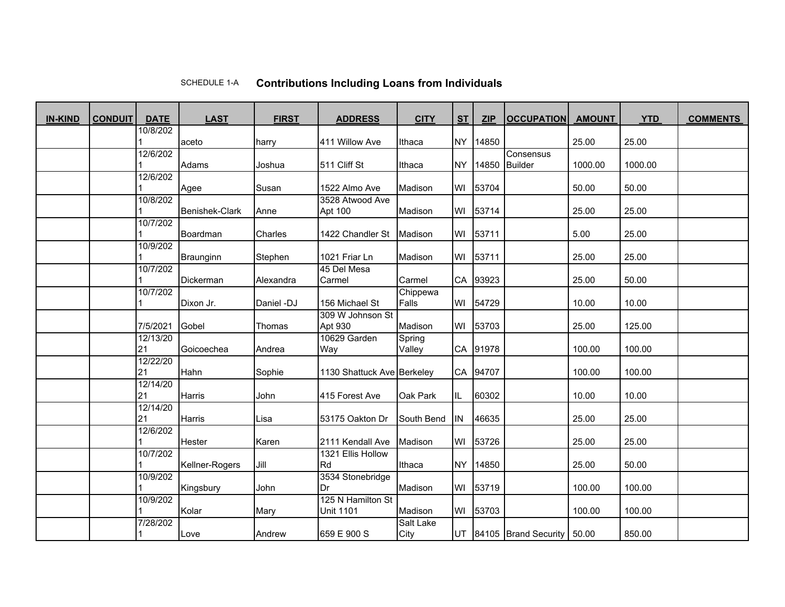## SCHEDULE 1-A**Contributions Including Loans from Individuals**

| <b>IN-KIND</b> | <b>CONDUIT</b> | <b>DATE</b>    | <b>LAST</b>           | <b>FIRST</b> | <b>ADDRESS</b>             | <b>CITY</b>      | <b>ST</b> | <b>ZIP</b> | <b>OCCUPATION</b>          | <b>AMOUNT</b> | <b>YTD</b> | <b>COMMENTS</b> |
|----------------|----------------|----------------|-----------------------|--------------|----------------------------|------------------|-----------|------------|----------------------------|---------------|------------|-----------------|
|                |                | 10/8/202       |                       |              |                            |                  |           |            |                            |               |            |                 |
|                |                |                | aceto                 | harry        | 411 Willow Ave             | Ithaca           | <b>NY</b> | 14850      |                            | 25.00         | 25.00      |                 |
|                |                | 12/6/202       |                       |              |                            |                  |           |            | Consensus                  |               |            |                 |
|                |                |                | Adams                 | Joshua       | 511 Cliff St               | Ithaca           | <b>NY</b> | 14850      | <b>Builder</b>             | 1000.00       | 1000.00    |                 |
|                |                | 12/6/202       |                       | Susan        | 1522 Almo Ave              | Madison          | WI        | 53704      |                            | 50.00         | 50.00      |                 |
|                |                | 10/8/202       | Agee                  |              | 3528 Atwood Ave            |                  |           |            |                            |               |            |                 |
|                |                |                | <b>Benishek-Clark</b> | Anne         | Apt 100                    | Madison          | WI        | 53714      |                            | 25.00         | 25.00      |                 |
|                |                | 10/7/202       |                       |              |                            |                  |           |            |                            |               |            |                 |
|                |                |                | Boardman              | Charles      | 1422 Chandler St           | Madison          | WI        | 53711      |                            | 5.00          | 25.00      |                 |
|                |                | 10/9/202       |                       |              |                            |                  |           |            |                            |               |            |                 |
|                |                |                | Braunginn             | Stephen      | 1021 Friar Ln              | Madison          | WI        | 53711      |                            | 25.00         | 25.00      |                 |
|                |                | 10/7/202       |                       |              | 45 Del Mesa                |                  |           |            |                            |               |            |                 |
|                |                |                | <b>Dickerman</b>      | Alexandra    | Carmel                     | Carmel           | CA        | 93923      |                            | 25.00         | 50.00      |                 |
|                |                | 10/7/202       |                       |              |                            | Chippewa         |           |            |                            |               |            |                 |
|                |                |                | Dixon Jr.             | Daniel -DJ   | 156 Michael St             | Falls            | WI        | 54729      |                            | 10.00         | 10.00      |                 |
|                |                |                |                       |              | 309 W Johnson St           |                  |           |            |                            |               |            |                 |
|                |                | 7/5/2021       | Gobel                 | Thomas       | Apt 930                    | Madison          | WI        | 53703      |                            | 25.00         | 125.00     |                 |
|                |                | 12/13/20       |                       |              | 10629 Garden               | Spring           |           |            |                            |               |            |                 |
|                |                | 21             | Goicoechea            | Andrea       | Way                        | Valley           | CA        | 91978      |                            | 100.00        | 100.00     |                 |
|                |                | 12/22/20       |                       |              |                            |                  |           |            |                            |               |            |                 |
|                |                | 21             | Hahn                  | Sophie       | 1130 Shattuck Ave Berkeley |                  | CA        | 94707      |                            | 100.00        | 100.00     |                 |
|                |                | 12/14/20       |                       |              |                            |                  |           |            |                            |               |            |                 |
|                |                | 21             | Harris                | John         | 415 Forest Ave             | Oak Park         | IL        | 60302      |                            | 10.00         | 10.00      |                 |
|                |                | 12/14/20<br>21 | Harris                | Lisa         | 53175 Oakton Dr            | South Bend       | IN        | 46635      |                            | 25.00         | 25.00      |                 |
|                |                | 12/6/202       |                       |              |                            |                  |           |            |                            |               |            |                 |
|                |                |                | Hester                | Karen        | 2111 Kendall Ave           | Madison          | WI        | 53726      |                            | 25.00         | 25.00      |                 |
|                |                | 10/7/202       |                       |              | 1321 Ellis Hollow          |                  |           |            |                            |               |            |                 |
|                |                |                | Kellner-Rogers        | Jill         | Rd                         | Ithaca           | <b>NY</b> | 14850      |                            | 25.00         | 50.00      |                 |
|                |                | 10/9/202       |                       |              | 3534 Stonebridge           |                  |           |            |                            |               |            |                 |
|                |                |                | Kingsbury             | John         | Dr                         | Madison          | WI        | 53719      |                            | 100.00        | 100.00     |                 |
|                |                | 10/9/202       |                       |              | 125 N Hamilton St          |                  |           |            |                            |               |            |                 |
|                |                |                | Kolar                 | Mary         | <b>Unit 1101</b>           | Madison          | WI        | 53703      |                            | 100.00        | 100.00     |                 |
|                |                | 7/28/202       |                       |              |                            | <b>Salt Lake</b> |           |            |                            |               |            |                 |
|                |                |                | Love                  | Andrew       | 659 E 900 S                | City             | UT        |            | 84105 Brand Security 50.00 |               | 850.00     |                 |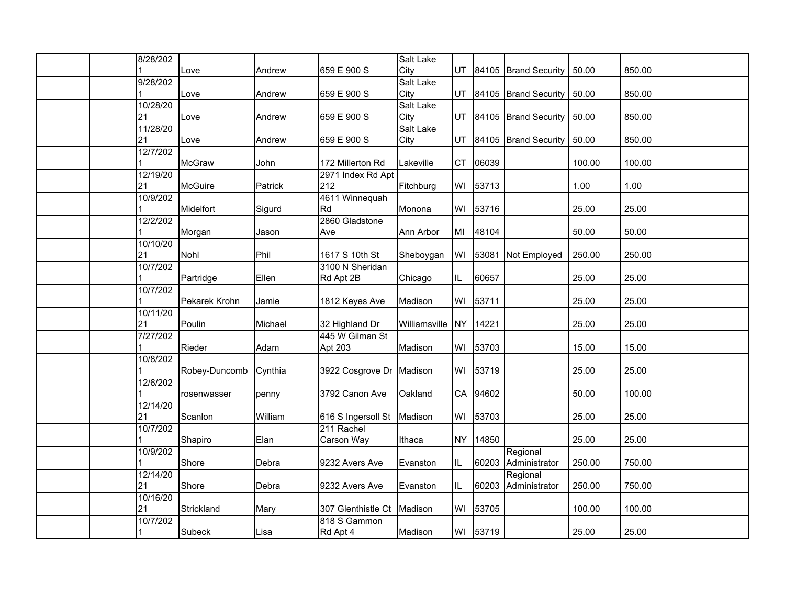| 8/28/202       |               |         |                    | <b>Salt Lake</b>         |           |          |                         |        |        |  |
|----------------|---------------|---------|--------------------|--------------------------|-----------|----------|-------------------------|--------|--------|--|
|                | Love          | Andrew  | 659 E 900 S        | City                     | UT        |          | 84105 Brand Security    | 50.00  | 850.00 |  |
| 9/28/202       |               |         |                    | <b>Salt Lake</b>         |           |          |                         |        |        |  |
|                | Love          | Andrew  | 659 E 900 S        | City<br><b>Salt Lake</b> |           |          | UT 84105 Brand Security | 50.00  | 850.00 |  |
| 10/28/20<br>21 | Love          | Andrew  | 659 E 900 S        | City                     | <b>UT</b> |          | 84105 Brand Security    | 50.00  | 850.00 |  |
| 11/28/20       |               |         |                    | <b>Salt Lake</b>         |           |          |                         |        |        |  |
| 21             | Love          | Andrew  | 659 E 900 S        | City                     |           |          | UT 84105 Brand Security | 50.00  | 850.00 |  |
| 12/7/202       |               |         |                    |                          |           |          |                         |        |        |  |
|                | <b>McGraw</b> | John    | 172 Millerton Rd   | Lakeville                | <b>CT</b> | 06039    |                         | 100.00 | 100.00 |  |
| 12/19/20       |               |         | 2971 Index Rd Apt  |                          |           |          |                         |        |        |  |
| 21             | McGuire       | Patrick | 212                | Fitchburg                |           | WI 53713 |                         | 1.00   | 1.00   |  |
| 10/9/202       |               |         | 4611 Winnequah     |                          |           |          |                         |        |        |  |
|                | Midelfort     | Sigurd  | Rd                 | Monona                   | WI        | 53716    |                         | 25.00  | 25.00  |  |
| 12/2/202       |               |         | 2860 Gladstone     |                          |           |          |                         |        |        |  |
|                | Morgan        | Jason   | Ave                | Ann Arbor                | MI        | 48104    |                         | 50.00  | 50.00  |  |
| 10/10/20       |               |         |                    |                          |           |          |                         |        |        |  |
| 21             | Nohl          | Phil    | 1617 S 10th St     | Sheboygan                | WI        | 53081    | Not Employed            | 250.00 | 250.00 |  |
| 10/7/202       |               |         | 3100 N Sheridan    |                          |           |          |                         |        |        |  |
|                | Partridge     | Ellen   | Rd Apt 2B          | Chicago                  | IL        | 60657    |                         | 25.00  | 25.00  |  |
| 10/7/202       |               |         |                    |                          |           |          |                         |        |        |  |
|                | Pekarek Krohn | Jamie   | 1812 Keyes Ave     | Madison                  | WI        | 53711    |                         | 25.00  | 25.00  |  |
| 10/11/20       |               |         |                    |                          |           |          |                         |        |        |  |
| 21             | Poulin        | Michael | 32 Highland Dr     | Williamsville            |           | NY 14221 |                         | 25.00  | 25.00  |  |
| 7/27/202       |               |         | 445 W Gilman St    |                          |           |          |                         |        |        |  |
|                | Rieder        | Adam    | Apt 203            | Madison                  | WI        | 53703    |                         | 15.00  | 15.00  |  |
| 10/8/202       | Robey-Duncomb | Cynthia |                    | Madison                  | WI        | 53719    |                         | 25.00  | 25.00  |  |
| 12/6/202       |               |         | 3922 Cosgrove Dr   |                          |           |          |                         |        |        |  |
|                | rosenwasser   | penny   | 3792 Canon Ave     | Oakland                  | CA        | 94602    |                         | 50.00  | 100.00 |  |
| 12/14/20       |               |         |                    |                          |           |          |                         |        |        |  |
| 21             | Scanlon       | William | 616 S Ingersoll St | Madison                  | WI        | 53703    |                         | 25.00  | 25.00  |  |
| 10/7/202       |               |         | 211 Rachel         |                          |           |          |                         |        |        |  |
|                | Shapiro       | Elan    | Carson Way         | Ithaca                   | <b>NY</b> | 14850    |                         | 25.00  | 25.00  |  |
| 10/9/202       |               |         |                    |                          |           |          | Regional                |        |        |  |
|                | Shore         | Debra   | 9232 Avers Ave     | Evanston                 | IL        | 60203    | Administrator           | 250.00 | 750.00 |  |
| 12/14/20       |               |         |                    |                          |           |          | Regional                |        |        |  |
| 21             | Shore         | Debra   | 9232 Avers Ave     | Evanston                 | IL        | 60203    | Administrator           | 250.00 | 750.00 |  |
| 10/16/20       |               |         |                    |                          |           |          |                         |        |        |  |
| 21             | Strickland    | Mary    | 307 Glenthistle Ct | Madison                  | WI        | 53705    |                         | 100.00 | 100.00 |  |
| 10/7/202       |               |         | 818 S Gammon       |                          |           |          |                         |        |        |  |
|                | Subeck        | Lisa    | Rd Apt 4           | Madison                  |           | WI 53719 |                         | 25.00  | 25.00  |  |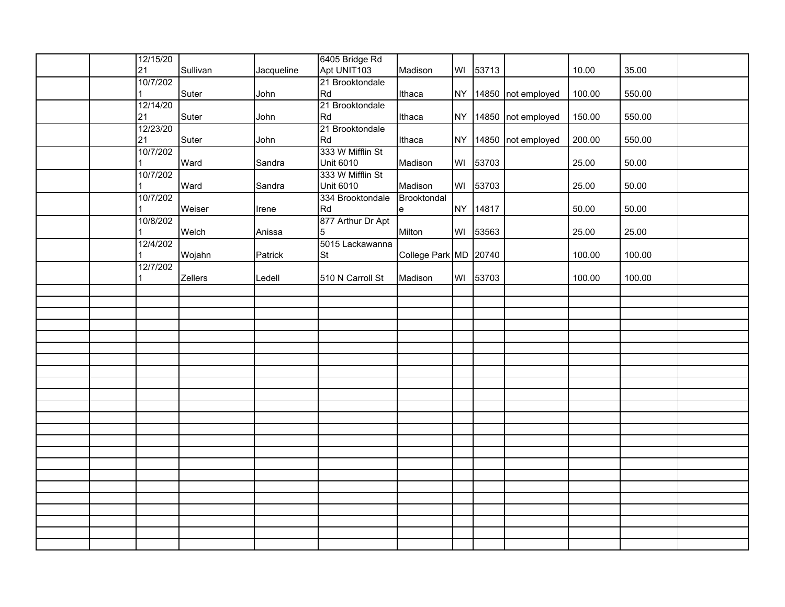|  | 12/15/20<br>21 | Sullivan | Jacqueline | 6405 Bridge Rd<br>Apt UNIT103 | Madison               | WI 53713 |                       | 10.00  | 35.00  |  |
|--|----------------|----------|------------|-------------------------------|-----------------------|----------|-----------------------|--------|--------|--|
|  | 10/7/202       |          |            | 21 Brooktondale               |                       |          |                       |        |        |  |
|  |                | Suter    | John       | Rd                            | Ithaca                |          | NY 14850 not employed | 100.00 | 550.00 |  |
|  | 12/14/20       |          |            | 21 Brooktondale               |                       |          |                       |        |        |  |
|  | 21             | Suter    | John       | Rd                            | Ithaca                |          | NY 14850 not employed | 150.00 | 550.00 |  |
|  | 12/23/20       |          |            | 21 Brooktondale               |                       |          |                       |        |        |  |
|  | 21             | Suter    | John       | Rd                            | Ithaca                |          | NY 14850 not employed | 200.00 | 550.00 |  |
|  | 10/7/202       |          |            | 333 W Mifflin St              |                       |          |                       |        |        |  |
|  |                | Ward     | Sandra     | <b>Unit 6010</b>              | Madison               | WI 53703 |                       | 25.00  | 50.00  |  |
|  | 10/7/202       |          |            | 333 W Mifflin St              |                       |          |                       |        |        |  |
|  |                | Ward     | Sandra     | <b>Unit 6010</b>              | Madison               | WI 53703 |                       | 25.00  | 50.00  |  |
|  | 10/7/202       |          |            | 334 Brooktondale              | Brooktondal           |          |                       |        |        |  |
|  |                | Weiser   | Irene      | Rd                            | $\mathbf e$           | NY 14817 |                       | 50.00  | 50.00  |  |
|  | 10/8/202       |          |            | 877 Arthur Dr Apt             |                       |          |                       |        |        |  |
|  |                | Welch    | Anissa     | 5                             | Milton                | WI 53563 |                       | 25.00  | 25.00  |  |
|  | 12/4/202       |          |            | 5015 Lackawanna               |                       |          |                       |        |        |  |
|  |                | Wojahn   | Patrick    | <b>St</b>                     | College Park MD 20740 |          |                       | 100.00 | 100.00 |  |
|  | 12/7/202       |          |            |                               |                       |          |                       |        |        |  |
|  | 1              | Zellers  | Ledell     | 510 N Carroll St              | Madison               | WI 53703 |                       | 100.00 | 100.00 |  |
|  |                |          |            |                               |                       |          |                       |        |        |  |
|  |                |          |            |                               |                       |          |                       |        |        |  |
|  |                |          |            |                               |                       |          |                       |        |        |  |
|  |                |          |            |                               |                       |          |                       |        |        |  |
|  |                |          |            |                               |                       |          |                       |        |        |  |
|  |                |          |            |                               |                       |          |                       |        |        |  |
|  |                |          |            |                               |                       |          |                       |        |        |  |
|  |                |          |            |                               |                       |          |                       |        |        |  |
|  |                |          |            |                               |                       |          |                       |        |        |  |
|  |                |          |            |                               |                       |          |                       |        |        |  |
|  |                |          |            |                               |                       |          |                       |        |        |  |
|  |                |          |            |                               |                       |          |                       |        |        |  |
|  |                |          |            |                               |                       |          |                       |        |        |  |
|  |                |          |            |                               |                       |          |                       |        |        |  |
|  |                |          |            |                               |                       |          |                       |        |        |  |
|  |                |          |            |                               |                       |          |                       |        |        |  |
|  |                |          |            |                               |                       |          |                       |        |        |  |
|  |                |          |            |                               |                       |          |                       |        |        |  |
|  |                |          |            |                               |                       |          |                       |        |        |  |
|  |                |          |            |                               |                       |          |                       |        |        |  |
|  |                |          |            |                               |                       |          |                       |        |        |  |
|  |                |          |            |                               |                       |          |                       |        |        |  |
|  |                |          |            |                               |                       |          |                       |        |        |  |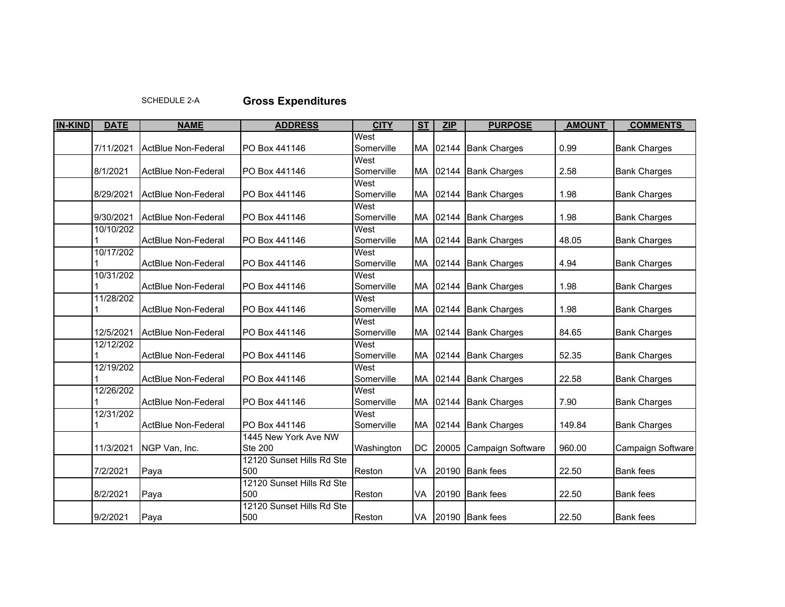## SCHEDULE 2-A**Gross Expenditures**

| <b>IN-KIND</b> | <b>DATE</b> | <b>NAME</b>                | <b>ADDRESS</b>                   | <b>CITY</b> | <b>ST</b> | <b>ZIP</b> | <b>PURPOSE</b>      | <b>AMOUNT</b> | <b>COMMENTS</b>     |
|----------------|-------------|----------------------------|----------------------------------|-------------|-----------|------------|---------------------|---------------|---------------------|
|                |             |                            |                                  | West        |           |            |                     |               |                     |
|                | 7/11/2021   | ActBlue Non-Federal        | PO Box 441146                    | Somerville  | MA        |            | 02144 Bank Charges  | 0.99          | <b>Bank Charges</b> |
|                |             |                            |                                  | West        |           |            |                     |               |                     |
|                | 8/1/2021    | ActBlue Non-Federal        | PO Box 441146                    | Somerville  | MA        | 02144      | <b>Bank Charges</b> | 2.58          | <b>Bank Charges</b> |
|                |             |                            |                                  | West        |           |            |                     |               |                     |
|                | 8/29/2021   | <b>ActBlue Non-Federal</b> | PO Box 441146                    | Somerville  | MA        | 02144      | <b>Bank Charges</b> | 1.98          | <b>Bank Charges</b> |
|                |             |                            |                                  | West        |           |            |                     |               |                     |
|                | 9/30/2021   | ActBlue Non-Federal        | PO Box 441146                    | Somerville  | <b>MA</b> | 02144      | <b>Bank Charges</b> | 1.98          | <b>Bank Charges</b> |
|                | 10/10/202   |                            |                                  | West        |           |            |                     |               |                     |
|                |             | ActBlue Non-Federal        | PO Box 441146                    | Somerville  | <b>MA</b> |            | 02144 Bank Charges  | 48.05         | <b>Bank Charges</b> |
|                | 10/17/202   |                            |                                  | West        |           |            |                     |               |                     |
|                |             | <b>ActBlue Non-Federal</b> | PO Box 441146                    | Somerville  | <b>MA</b> |            | 02144 Bank Charges  | 4.94          | <b>Bank Charges</b> |
|                | 10/31/202   |                            |                                  | West        |           |            |                     |               |                     |
|                |             | <b>ActBlue Non-Federal</b> | PO Box 441146                    | Somerville  | MA        | 02144      | <b>Bank Charges</b> | 1.98          | <b>Bank Charges</b> |
|                | 11/28/202   |                            |                                  | West        |           |            |                     |               |                     |
|                |             | <b>ActBlue Non-Federal</b> | PO Box 441146                    | Somerville  | <b>MA</b> |            | 02144 Bank Charges  | 1.98          | <b>Bank Charges</b> |
|                |             |                            |                                  | West        |           |            |                     |               |                     |
|                | 12/5/2021   | <b>ActBlue Non-Federal</b> | PO Box 441146                    | Somerville  | MA        | 02144      | <b>Bank Charges</b> | 84.65         | <b>Bank Charges</b> |
|                | 12/12/202   |                            |                                  | West        |           |            |                     |               |                     |
|                |             | <b>ActBlue Non-Federal</b> | PO Box 441146                    | Somerville  | MA        | 02144      | <b>Bank Charges</b> | 52.35         | <b>Bank Charges</b> |
|                | 12/19/202   |                            |                                  | West        |           |            |                     |               |                     |
|                |             | <b>ActBlue Non-Federal</b> | PO Box 441146                    | Somerville  | MA        | 02144      | <b>Bank Charges</b> | 22.58         | <b>Bank Charges</b> |
|                | 12/26/202   |                            |                                  | West        |           |            |                     |               |                     |
|                |             | ActBlue Non-Federal        | PO Box 441146                    | Somerville  | <b>MA</b> | 02144      | <b>Bank Charges</b> | 7.90          | <b>Bank Charges</b> |
|                | 12/31/202   |                            |                                  | West        |           |            |                     |               |                     |
|                |             | ActBlue Non-Federal        | PO Box 441146                    | Somerville  | MA        | 02144      | <b>Bank Charges</b> | 149.84        | <b>Bank Charges</b> |
|                |             |                            | 1445 New York Ave NW             |             |           |            |                     |               |                     |
|                | 11/3/2021   | NGP Van, Inc.              | <b>Ste 200</b>                   | Washington  | <b>DC</b> | 20005      | Campaign Software   | 960.00        | Campaign Software   |
|                |             |                            | 12120 Sunset Hills Rd Ste        |             |           |            |                     |               |                     |
|                | 7/2/2021    | Paya                       | 500<br>12120 Sunset Hills Rd Ste | Reston      | VA        |            | 20190 Bank fees     | 22.50         | <b>Bank</b> fees    |
|                |             |                            | 500                              |             |           |            |                     |               |                     |
|                | 8/2/2021    | Paya                       | 12120 Sunset Hills Rd Ste        | Reston      | VA        |            | 20190 Bank fees     | 22.50         | <b>Bank</b> fees    |
|                | 9/2/2021    |                            | 500                              | Reston      | VA        |            | 20190 Bank fees     | 22.50         | <b>Bank</b> fees    |
|                |             | Paya                       |                                  |             |           |            |                     |               |                     |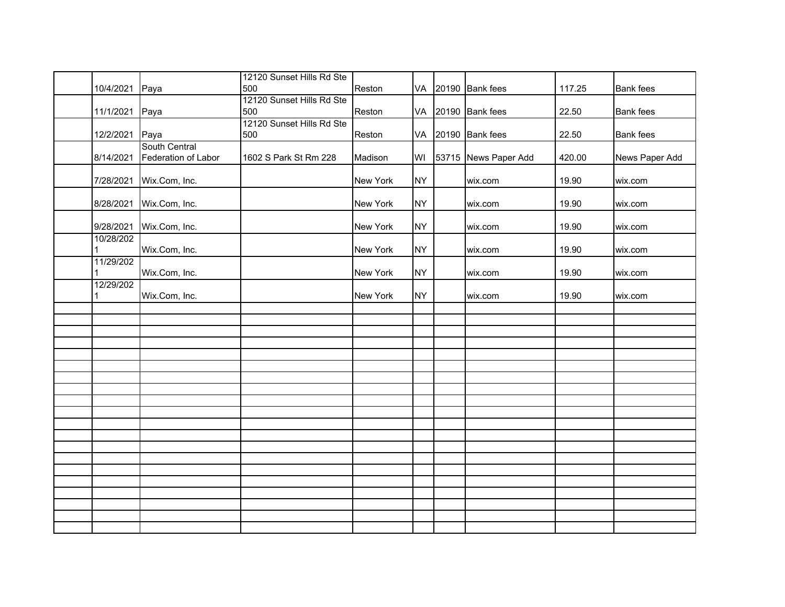|                |                         | 12120 Sunset Hills Rd Ste |          |           |                      |        |                  |
|----------------|-------------------------|---------------------------|----------|-----------|----------------------|--------|------------------|
| 10/4/2021      | Paya                    | 500                       | Reston   |           | VA 20190 Bank fees   | 117.25 | <b>Bank</b> fees |
|                |                         | 12120 Sunset Hills Rd Ste |          |           |                      |        |                  |
| 11/1/2021 Paya |                         | 500                       | Reston   |           | VA 20190 Bank fees   | 22.50  | <b>Bank</b> fees |
|                |                         | 12120 Sunset Hills Rd Ste |          |           |                      |        |                  |
| 12/2/2021 Paya |                         | 500                       | Reston   |           | VA 20190 Bank fees   | 22.50  | <b>Bank</b> fees |
|                | South Central           |                           |          |           |                      |        |                  |
| 8/14/2021      | Federation of Labor     | 1602 S Park St Rm 228     | Madison  | WI        | 53715 News Paper Add | 420.00 | News Paper Add   |
|                |                         |                           |          |           |                      |        |                  |
|                | 7/28/2021 Wix.Com, Inc. |                           | New York | <b>NY</b> | wix.com              | 19.90  | wix.com          |
|                |                         |                           |          |           |                      |        |                  |
|                | 8/28/2021 Wix.Com, Inc. |                           | New York | <b>NY</b> | wix.com              | 19.90  | wix.com          |
|                |                         |                           |          |           |                      |        |                  |
| 9/28/2021      | Wix.Com, Inc.           |                           | New York | <b>NY</b> | wix.com              | 19.90  | wix.com          |
| 10/28/202      |                         |                           |          |           |                      |        |                  |
|                | Wix.Com, Inc.           |                           | New York | <b>NY</b> | wix.com              | 19.90  | wix.com          |
| 11/29/202      |                         |                           |          |           |                      |        |                  |
|                | Wix.Com, Inc.           |                           | New York | <b>NY</b> | wix.com              | 19.90  | wix.com          |
| 12/29/202      |                         |                           |          |           |                      |        |                  |
|                | Wix.Com, Inc.           |                           | New York | <b>NY</b> | wix.com              | 19.90  | wix.com          |
|                |                         |                           |          |           |                      |        |                  |
|                |                         |                           |          |           |                      |        |                  |
|                |                         |                           |          |           |                      |        |                  |
|                |                         |                           |          |           |                      |        |                  |
|                |                         |                           |          |           |                      |        |                  |
|                |                         |                           |          |           |                      |        |                  |
|                |                         |                           |          |           |                      |        |                  |
|                |                         |                           |          |           |                      |        |                  |
|                |                         |                           |          |           |                      |        |                  |
|                |                         |                           |          |           |                      |        |                  |
|                |                         |                           |          |           |                      |        |                  |
|                |                         |                           |          |           |                      |        |                  |
|                |                         |                           |          |           |                      |        |                  |
|                |                         |                           |          |           |                      |        |                  |
|                |                         |                           |          |           |                      |        |                  |
|                |                         |                           |          |           |                      |        |                  |
|                |                         |                           |          |           |                      |        |                  |
|                |                         |                           |          |           |                      |        |                  |
|                |                         |                           |          |           |                      |        |                  |
|                |                         |                           |          |           |                      |        |                  |